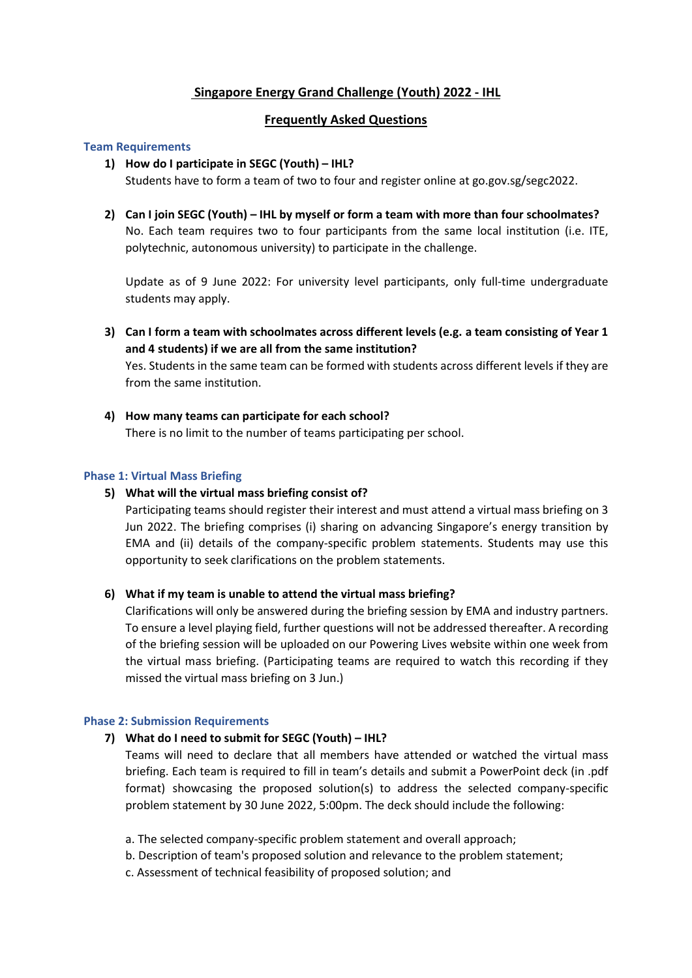## **Singapore Energy Grand Challenge (Youth) 2022 - IHL**

## **Frequently Asked Questions**

#### **Team Requirements**

#### **1) How do I participate in SEGC (Youth) – IHL?**

Students have to form a team of two to four and register online at go.gov.sg/segc2022.

**2) Can I join SEGC (Youth) – IHL by myself or form a team with more than four schoolmates?** No. Each team requires two to four participants from the same local institution (i.e. ITE, polytechnic, autonomous university) to participate in the challenge.

Update as of 9 June 2022: For university level participants, only full-time undergraduate students may apply.

**3) Can I form a team with schoolmates across different levels (e.g. a team consisting of Year 1 and 4 students) if we are all from the same institution?** 

Yes. Students in the same team can be formed with students across different levels if they are from the same institution.

**4) How many teams can participate for each school?** There is no limit to the number of teams participating per school.

#### **Phase 1: Virtual Mass Briefing**

### **5) What will the virtual mass briefing consist of?**

Participating teams should register their interest and must attend a virtual mass briefing on 3 Jun 2022. The briefing comprises (i) sharing on advancing Singapore's energy transition by EMA and (ii) details of the company-specific problem statements. Students may use this opportunity to seek clarifications on the problem statements.

#### **6) What if my team is unable to attend the virtual mass briefing?**

Clarifications will only be answered during the briefing session by EMA and industry partners. To ensure a level playing field, further questions will not be addressed thereafter. A recording of the briefing session will be uploaded on our Powering Lives website within one week from the virtual mass briefing. (Participating teams are required to watch this recording if they missed the virtual mass briefing on 3 Jun.)

#### **Phase 2: Submission Requirements**

### **7) What do I need to submit for SEGC (Youth) – IHL?**

Teams will need to declare that all members have attended or watched the virtual mass briefing. Each team is required to fill in team's details and submit a PowerPoint deck (in .pdf format) showcasing the proposed solution(s) to address the selected company-specific problem statement by 30 June 2022, 5:00pm. The deck should include the following:

- a. The selected company-specific problem statement and overall approach;
- b. Description of team's proposed solution and relevance to the problem statement;
- c. Assessment of technical feasibility of proposed solution; and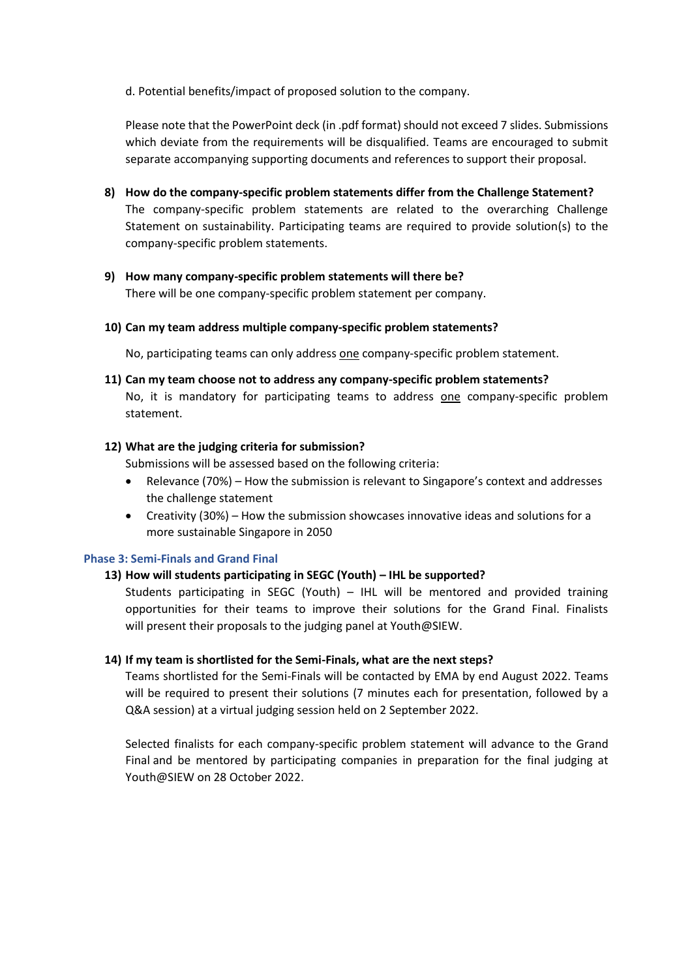d. Potential benefits/impact of proposed solution to the company.

Please note that the PowerPoint deck (in .pdf format) should not exceed 7 slides. Submissions which deviate from the requirements will be disqualified. Teams are encouraged to submit separate accompanying supporting documents and references to support their proposal.

- **8) How do the company-specific problem statements differ from the Challenge Statement?**  The company-specific problem statements are related to the overarching Challenge Statement on sustainability. Participating teams are required to provide solution(s) to the company-specific problem statements.
- **9) How many company-specific problem statements will there be?**  There will be one company-specific problem statement per company.
- **10) Can my team address multiple company-specific problem statements?**

No, participating teams can only address one company-specific problem statement.

**11) Can my team choose not to address any company-specific problem statements?** No, it is mandatory for participating teams to address one company-specific problem statement.

### **12) What are the judging criteria for submission?**

Submissions will be assessed based on the following criteria:

- Relevance (70%) How the submission is relevant to Singapore's context and addresses the challenge statement
- Creativity (30%) How the submission showcases innovative ideas and solutions for a more sustainable Singapore in 2050

### **Phase 3: Semi-Finals and Grand Final**

### **13) How will students participating in SEGC (Youth) – IHL be supported?**

Students participating in SEGC (Youth) – IHL will be mentored and provided training opportunities for their teams to improve their solutions for the Grand Final. Finalists will present their proposals to the judging panel at Youth@SIEW.

### **14) If my team is shortlisted for the Semi-Finals, what are the next steps?**

Teams shortlisted for the Semi-Finals will be contacted by EMA by end August 2022. Teams will be required to present their solutions (7 minutes each for presentation, followed by a Q&A session) at a virtual judging session held on 2 September 2022.

Selected finalists for each company-specific problem statement will advance to the Grand Final and be mentored by participating companies in preparation for the final judging at Youth@SIEW on 28 October 2022.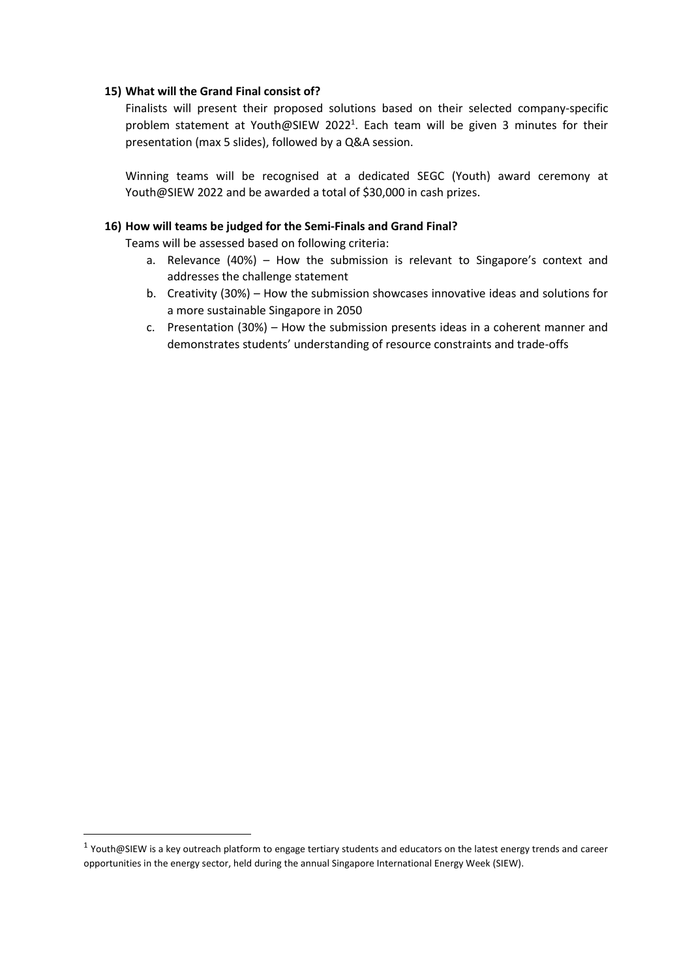#### **15) What will the Grand Final consist of?**

Finalists will present their proposed solutions based on their selected company-specific problem statement at Youth@SIEW 2022<sup>1</sup>. Each team will be given 3 minutes for their presentation (max 5 slides), followed by a Q&A session.

Winning teams will be recognised at a dedicated SEGC (Youth) award ceremony at Youth@SIEW 2022 and be awarded a total of \$30,000 in cash prizes.

#### **16) How will teams be judged for the Semi-Finals and Grand Final?**

Teams will be assessed based on following criteria:

- a. Relevance (40%) How the submission is relevant to Singapore's context and addresses the challenge statement
- b. Creativity (30%) How the submission showcases innovative ideas and solutions for a more sustainable Singapore in 2050
- c. Presentation (30%) How the submission presents ideas in a coherent manner and demonstrates students' understanding of resource constraints and trade-offs

<sup>&</sup>lt;sup>1</sup> Youth@SIEW is a key outreach platform to engage tertiary students and educators on the latest energy trends and career opportunities in the energy sector, held during the annual Singapore International Energy Week (SIEW).